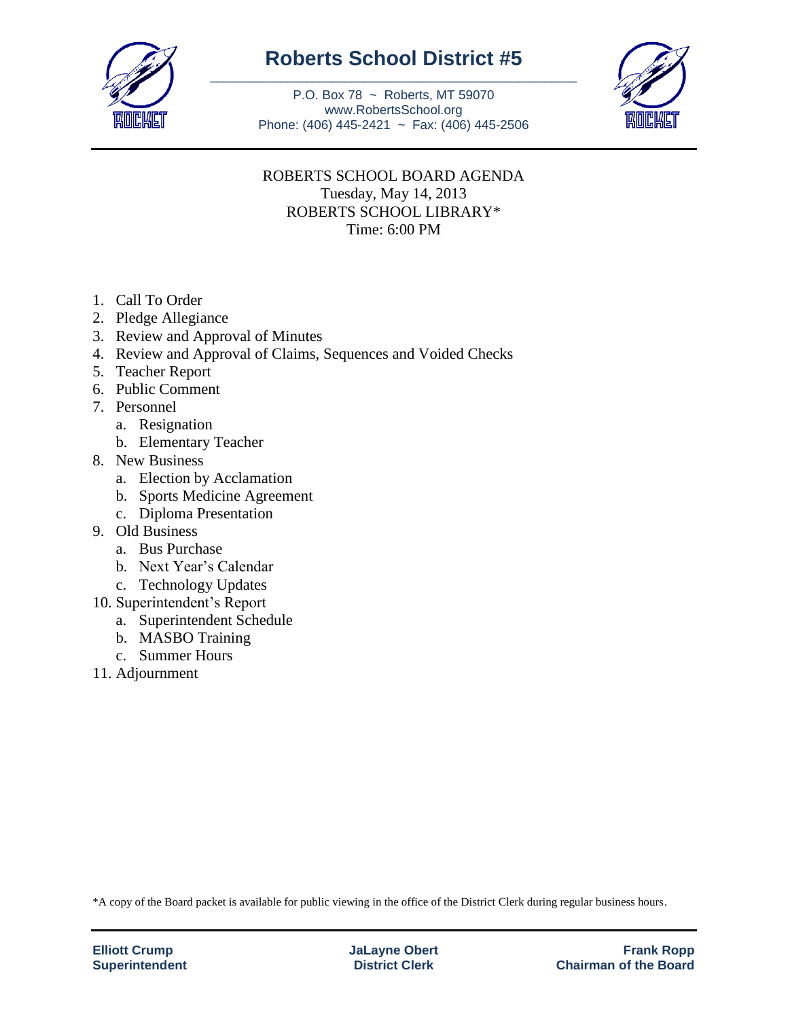

## **Roberts School District #5** \_\_\_\_\_\_\_\_\_\_\_\_\_\_\_\_\_\_\_\_\_\_\_\_\_\_\_\_\_\_\_\_\_\_\_\_\_\_\_\_\_\_\_\_\_\_\_\_\_\_\_\_\_\_\_\_\_

P.O. Box 78 ~ Roberts, MT 59070 www.RobertsSchool.org Phone: (406) 445-2421 ~ Fax: (406) 445-2506



## ROBERTS SCHOOL BOARD AGENDA Tuesday, May 14, 2013 ROBERTS SCHOOL LIBRARY\* Time: 6:00 PM

- 1. Call To Order
- 2. Pledge Allegiance
- 3. Review and Approval of Minutes
- 4. Review and Approval of Claims, Sequences and Voided Checks
- 5. Teacher Report
- 6. Public Comment
- 7. Personnel
	- a. Resignation
	- b. Elementary Teacher
- 8. New Business
	- a. Election by Acclamation
	- b. Sports Medicine Agreement
	- c. Diploma Presentation
- 9. Old Business
	- a. Bus Purchase
	- b. Next Year's Calendar
	- c. Technology Updates
- 10. Superintendent's Report
	- a. Superintendent Schedule
	- b. MASBO Training
	- c. Summer Hours
- 11. Adjournment

\*A copy of the Board packet is available for public viewing in the office of the District Clerk during regular business hours.